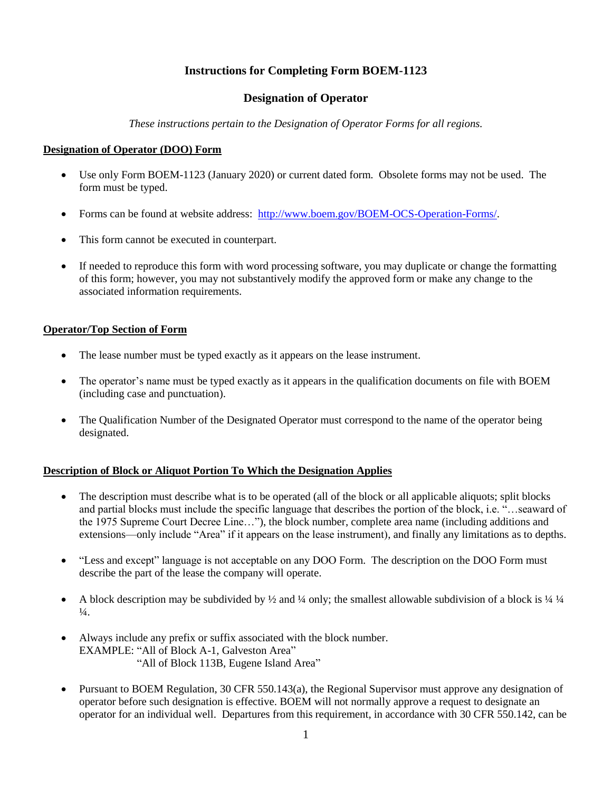# **Instructions for Completing Form BOEM-1123**

## **Designation of Operator**

*These instructions pertain to the Designation of Operator Forms for all regions.*

#### **Designation of Operator (DOO) Form**

- Use only Form BOEM-1123 (January 2020) or current dated form. Obsolete forms may not be used. The form must be typed.
- Forms can be found at website address: [http://www.boem.gov/BOEM-OCS-Operation-Forms/.](http://www.boem.gov/BOEM-OCS-Operation-Forms/)
- This form cannot be executed in counterpart.
- If needed to reproduce this form with word processing software, you may duplicate or change the formatting of this form; however, you may not substantively modify the approved form or make any change to the associated information requirements.

### **Operator/Top Section of Form**

- The lease number must be typed exactly as it appears on the lease instrument.
- The operator's name must be typed exactly as it appears in the qualification documents on file with BOEM (including case and punctuation).
- The Qualification Number of the Designated Operator must correspond to the name of the operator being designated.

#### **Description of Block or Aliquot Portion To Which the Designation Applies**

- The description must describe what is to be operated (all of the block or all applicable aliquots; split blocks and partial blocks must include the specific language that describes the portion of the block, i.e. "…seaward of the 1975 Supreme Court Decree Line…"), the block number, complete area name (including additions and extensions—only include "Area" if it appears on the lease instrument), and finally any limitations as to depths.
- "Less and except" language is not acceptable on any DOO Form. The description on the DOO Form must describe the part of the lease the company will operate.
- A block description may be subdivided by  $\frac{1}{2}$  and  $\frac{1}{4}$  only; the smallest allowable subdivision of a block is  $\frac{1}{4}$   $\frac{1}{4}$  $\frac{1}{4}$ .
- Always include any prefix or suffix associated with the block number. EXAMPLE: "All of Block A-1, Galveston Area" "All of Block 113B, Eugene Island Area"
- Pursuant to BOEM Regulation, 30 CFR 550.143(a), the Regional Supervisor must approve any designation of operator before such designation is effective. BOEM will not normally approve a request to designate an operator for an individual well. Departures from this requirement, in accordance with 30 CFR 550.142, can be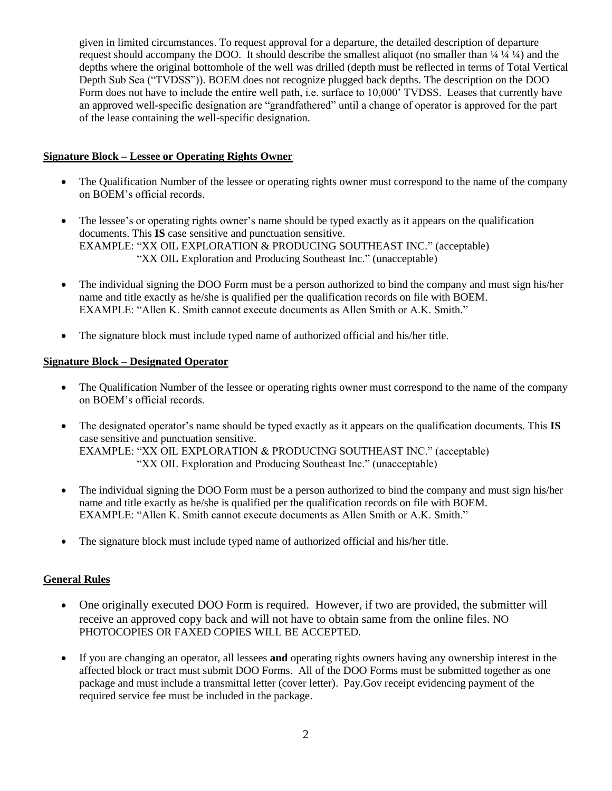given in limited circumstances. To request approval for a departure, the detailed description of departure request should accompany the DOO. It should describe the smallest aliquot (no smaller than  $\frac{1}{4}$   $\frac{1}{4}$ ) and the depths where the original bottomhole of the well was drilled (depth must be reflected in terms of Total Vertical Depth Sub Sea ("TVDSS")). BOEM does not recognize plugged back depths. The description on the DOO Form does not have to include the entire well path, i.e. surface to 10,000' TVDSS. Leases that currently have an approved well-specific designation are "grandfathered" until a change of operator is approved for the part of the lease containing the well-specific designation.

## **Signature Block – Lessee or Operating Rights Owner**

- The Qualification Number of the lessee or operating rights owner must correspond to the name of the company on BOEM's official records.
- The lessee's or operating rights owner's name should be typed exactly as it appears on the qualification documents. This **IS** case sensitive and punctuation sensitive. EXAMPLE: "XX OIL EXPLORATION & PRODUCING SOUTHEAST INC." (acceptable) "XX OIL Exploration and Producing Southeast Inc." (unacceptable)
- The individual signing the DOO Form must be a person authorized to bind the company and must sign his/her name and title exactly as he/she is qualified per the qualification records on file with BOEM. EXAMPLE: "Allen K. Smith cannot execute documents as Allen Smith or A.K. Smith."
- The signature block must include typed name of authorized official and his/her title.

## **Signature Block – Designated Operator**

- The Qualification Number of the lessee or operating rights owner must correspond to the name of the company on BOEM's official records.
- The designated operator's name should be typed exactly as it appears on the qualification documents. This **IS** case sensitive and punctuation sensitive. EXAMPLE: "XX OIL EXPLORATION & PRODUCING SOUTHEAST INC." (acceptable) "XX OIL Exploration and Producing Southeast Inc." (unacceptable)
- The individual signing the DOO Form must be a person authorized to bind the company and must sign his/her name and title exactly as he/she is qualified per the qualification records on file with BOEM. EXAMPLE: "Allen K. Smith cannot execute documents as Allen Smith or A.K. Smith."
- The signature block must include typed name of authorized official and his/her title.

# **General Rules**

- One originally executed DOO Form is required. However, if two are provided, the submitter will receive an approved copy back and will not have to obtain same from the online files. NO PHOTOCOPIES OR FAXED COPIES WILL BE ACCEPTED.
- If you are changing an operator, all lessees **and** operating rights owners having any ownership interest in the affected block or tract must submit DOO Forms. All of the DOO Forms must be submitted together as one package and must include a transmittal letter (cover letter). Pay.Gov receipt evidencing payment of the required service fee must be included in the package.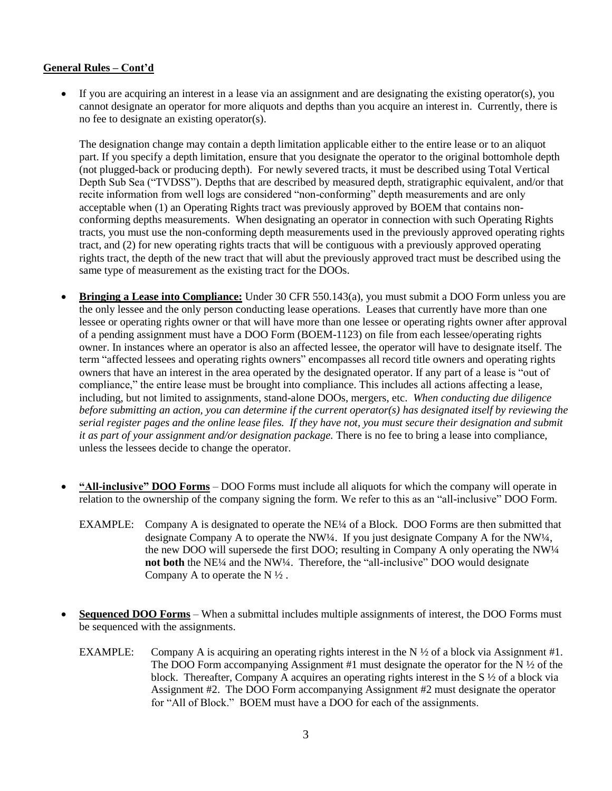#### **General Rules – Cont'd**

 If you are acquiring an interest in a lease via an assignment and are designating the existing operator(s), you cannot designate an operator for more aliquots and depths than you acquire an interest in. Currently, there is no fee to designate an existing operator(s).

The designation change may contain a depth limitation applicable either to the entire lease or to an aliquot part. If you specify a depth limitation, ensure that you designate the operator to the original bottomhole depth (not plugged-back or producing depth). For newly severed tracts, it must be described using Total Vertical Depth Sub Sea ("TVDSS"). Depths that are described by measured depth, stratigraphic equivalent, and/or that recite information from well logs are considered "non-conforming" depth measurements and are only acceptable when (1) an Operating Rights tract was previously approved by BOEM that contains nonconforming depths measurements. When designating an operator in connection with such Operating Rights tracts, you must use the non-conforming depth measurements used in the previously approved operating rights tract, and (2) for new operating rights tracts that will be contiguous with a previously approved operating rights tract, the depth of the new tract that will abut the previously approved tract must be described using the same type of measurement as the existing tract for the DOOs.

- **Bringing a Lease into Compliance:** Under 30 CFR 550.143(a), you must submit a DOO Form unless you are the only lessee and the only person conducting lease operations. Leases that currently have more than one lessee or operating rights owner or that will have more than one lessee or operating rights owner after approval of a pending assignment must have a DOO Form (BOEM-1123) on file from each lessee/operating rights owner. In instances where an operator is also an affected lessee, the operator will have to designate itself. The term "affected lessees and operating rights owners" encompasses all record title owners and operating rights owners that have an interest in the area operated by the designated operator. If any part of a lease is "out of compliance," the entire lease must be brought into compliance. This includes all actions affecting a lease, including, but not limited to assignments, stand-alone DOOs, mergers, etc. *When conducting due diligence before submitting an action, you can determine if the current operator(s) has designated itself by reviewing the serial register pages and the online lease files. If they have not, you must secure their designation and submit it as part of your assignment and/or designation package.* There is no fee to bring a lease into compliance, unless the lessees decide to change the operator.
- **"All-inclusive" DOO Forms** DOO Forms must include all aliquots for which the company will operate in relation to the ownership of the company signing the form. We refer to this as an "all-inclusive" DOO Form.
	- EXAMPLE: Company A is designated to operate the NE¼ of a Block. DOO Forms are then submitted that designate Company A to operate the NW¼. If you just designate Company A for the NW¼, the new DOO will supersede the first DOO; resulting in Company A only operating the NW¼ **not both** the NE¼ and the NW¼. Therefore, the "all-inclusive" DOO would designate Company A to operate the  $N \frac{1}{2}$ .
- **Sequenced DOO Forms** When a submittal includes multiple assignments of interest, the DOO Forms must be sequenced with the assignments.
	- EXAMPLE: Company A is acquiring an operating rights interest in the N  $\frac{1}{2}$  of a block via Assignment #1. The DOO Form accompanying Assignment #1 must designate the operator for the  $N \frac{1}{2}$  of the block. Thereafter, Company A acquires an operating rights interest in the S ½ of a block via Assignment #2. The DOO Form accompanying Assignment #2 must designate the operator for "All of Block." BOEM must have a DOO for each of the assignments.